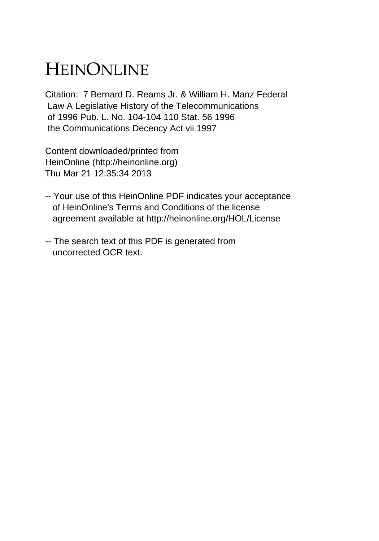## HEINONLINE

Citation: 7 Bernard D. Reams Jr. & William H. Manz Federal Law A Legislative History of the Telecommunications of 1996 Pub. L. No. 104-104 110 Stat. 56 1996 the Communications Decency Act vii 1997

Content downloaded/printed from HeinOnline (http://heinonline.org) Thu Mar 21 12:35:34 2013

- -- Your use of this HeinOnline PDF indicates your acceptance of HeinOnline's Terms and Conditions of the license agreement available at http://heinonline.org/HOL/License
- -- The search text of this PDF is generated from uncorrected OCR text.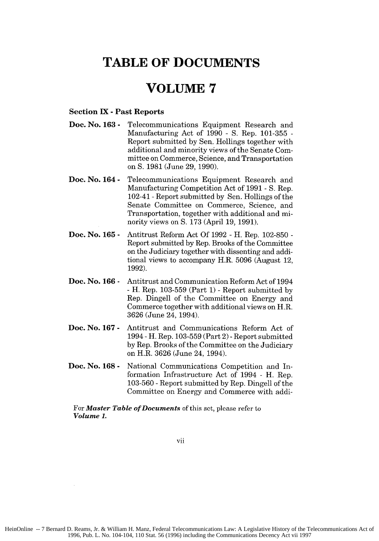## **TABLE OF DOCUMENTS**

## **VOLUME 7**

## **Section IX - Past Reports**

- **Doc. No. 163 -** Telecommunications Equipment Research and Manufacturing Act of 1990 **-** S. Rep. 101-355 - Report submitted by Sen. Hollings together with additional and minority views of the Senate Committee on Commerce, Science, and Transportation on **S.** 1981 (June 29, 1990).
- **Doc. No. 164 -** Telecommunications Equipment Research and Manufacturing Competition Act of 1991 - S. Rep. 102-41 **-**Report submitted by Sen. Hollings of the Senate Committee on Commerce, Science, and Transportation, together with additional and minority views on **S.** 173 (April 19, 1991).
- **Doc. No. 165 -** Antitrust Reform Act Of 1992 - H. Rep. 102-850 - Report submitted by Rep. Brooks of the Committee on the Judiciary together with dissenting and additional views to accompany H.R. 5096 (August 12, 1992).
- **Doc. No. 166 -** Antitrust and Communication Reform Act of 1994 - H. Rep. 103-559 (Part 1) - Report submitted by Rep. Dingell of the Committee on Energy and Commerce together with additional views on H.R. 3626 (June 24, 1994).
- **Doc. No. 167 -** Antitrust and Communications Reform Act of 1994 - H. Rep. 103-559 (Part 2) -Report submitted by Rep. Brooks of the Committee on the Judiciary on H.R. 3626 (June 24, 1994).
- **Doc. No. 168 -** National Communications Competition and Information Infrastructure Act of 1994 - H. Rep. 103-560 -Report submitted by Rep. Dingell of the Committee on Energy and Commerce with addi-

For *Master Table of Documents* of this set, please refer to *Volume 1.*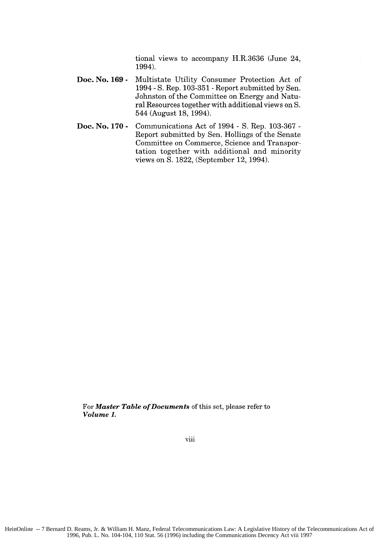tional views to accompany H.R.3636 (June 24, 1994).

- **Doc. No. 169 -** Multistate Utility Consumer Protection Act of 1994 - S. Rep. 103-351 -Report submitted by Sen. Johnston of the Committee on Energy and Natural Resources together with additional views on S. 544 (August 18, 1994).
- **Doc. No. 170 -** Communications Act of 1994 - S. Rep. 103-367 - Report submitted by Sen. Hollings of the Senate Committee on Commerce, Science and Transportation together with additional and minority views on **S.** 1822, (September 12, 1994).

For *Master Table of Documents* of this set, please refer to *Volume 1.*

viii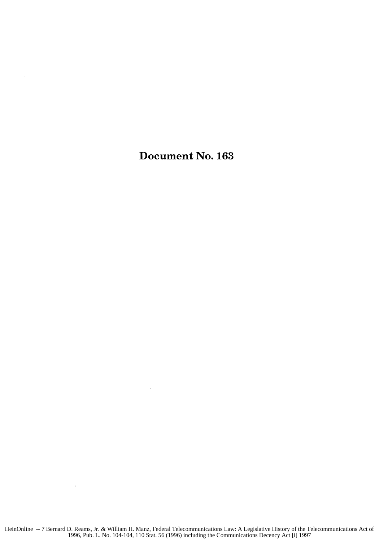Document No. **163**

 $\sim$   $\sim$